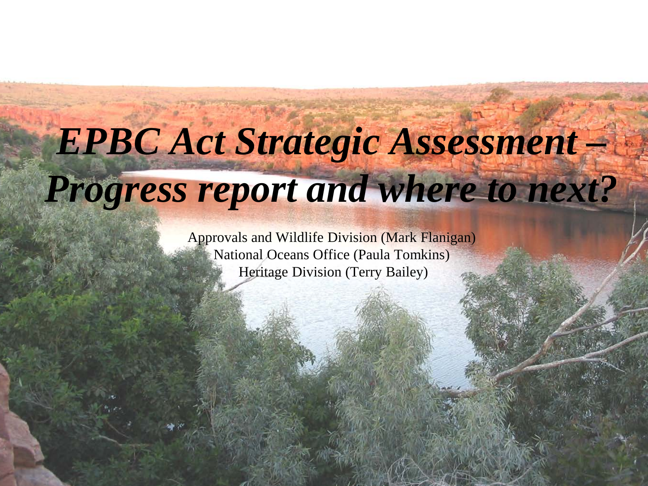# *EPBC Act Strategic Assessment – Progress report and where to next?*

Approvals and Wildlife Division (Mark Flanigan) National Oceans Office (Paula Tomkins) Heritage Division (Terry Bailey)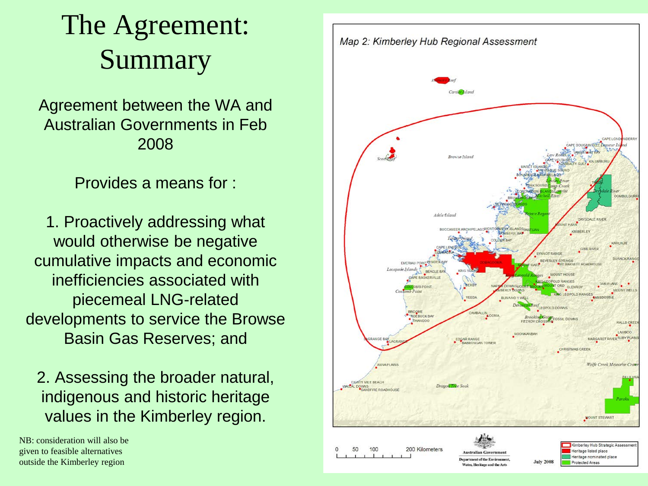# The Agreement: Summary

Agreement between the WA and Australian Governments in Feb 2008

Provides a means for :

1. Proactively addressing what would otherwise be negative cumulative impacts and economic inefficiencies associated with piecemeal LNG-related developments to service the Browse Basin Gas Reserves; and

2. Assessing the broader natural, indigenous and historic heritage values in the Kimberley region.

NB: consideration will also be given to feasible alternatives outside the Kimberley region

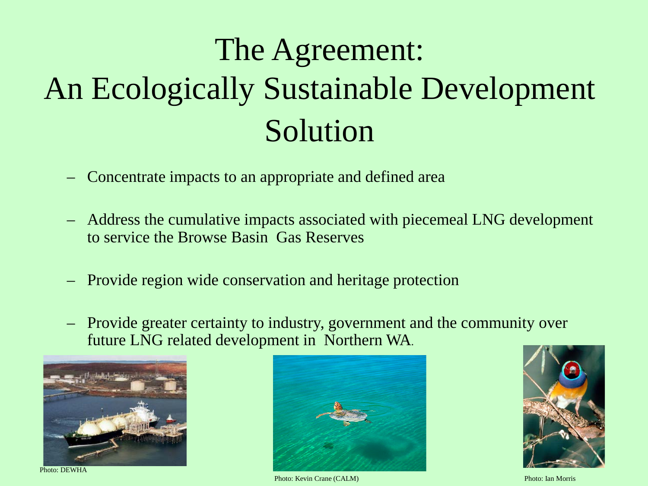# The Agreement: An Ecologically Sustainable Development Solution

- Concentrate impacts to an appropriate and defined area
- Address the cumulative impacts associated with piecemeal LNG development to service the Browse Basin Gas Reserves
- Provide region wide conservation and heritage protection
- Provide greater certainty to industry, government and the community over future LNG related development in Northern WA.



Photo: DEWHA



Photo: Kevin Crane (CALM) Photo: Ian Morris

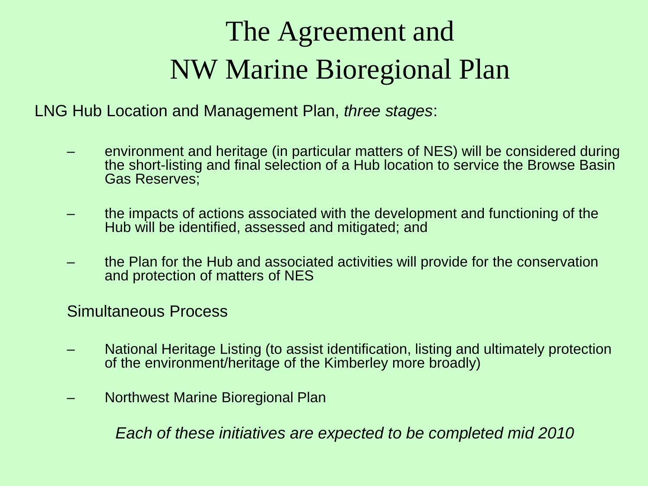# The Agreement and NW Marine Bioregional Plan

LNG Hub Location and Management Plan, *three stages*:

- environment and heritage (in particular matters of NES) will be considered during the short-listing and final selection of a Hub location to service the Browse Basin Gas Reserves;
- the impacts of actions associated with the development and functioning of the Hub will be identified, assessed and mitigated; and
- the Plan for the Hub and associated activities will provide for the conservation and protection of matters of NES

Simultaneous Process

- National Heritage Listing (to assist identification, listing and ultimately protection of the environment/heritage of the Kimberley more broadly)
- Northwest Marine Bioregional Plan

*Each of these initiatives are expected to be completed mid 2010*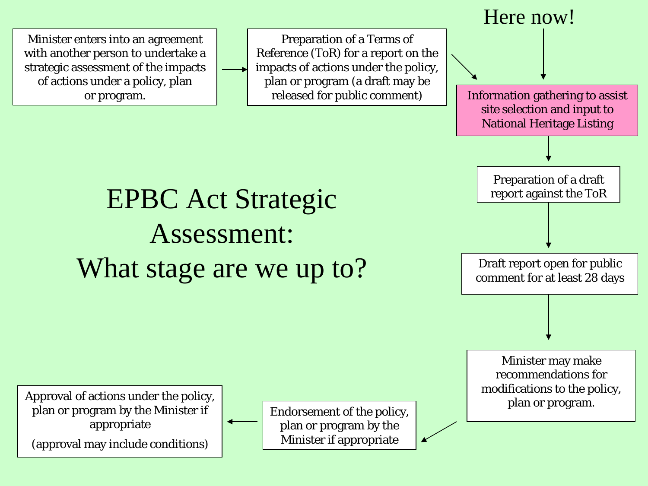Minister enters into an agreement with another person to undertake a strategic assessment of the impacts of actions under a policy, plan or program.

Preparation of a Terms of Reference (ToR) for a report on the impacts of actions under the policy, plan or program (a draft may be released for public comment)



# EPBC Act Strategic Assessment: What stage are we up to?

Approval of actions under the policy, plan or program by the Minister if appropriate

(approval may include conditions)

plan or program by the Minister if appropriate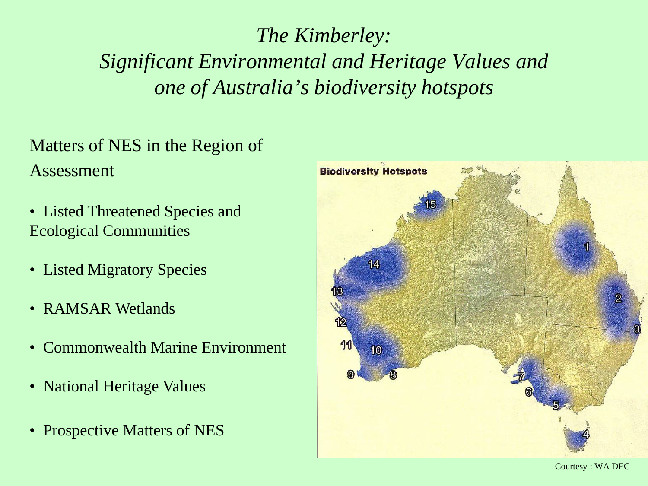#### *The Kimberley: Significant Environmental and Heritage Values and one of Australia's biodiversity hotspots*

#### Matters of NES in the Region of Assessment

- Listed Threatened Species and Ecological Communities
- Listed Migratory Species
- RAMSAR Wetlands
- Commonwealth Marine Environment
- National Heritage Values
- Prospective Matters of NES

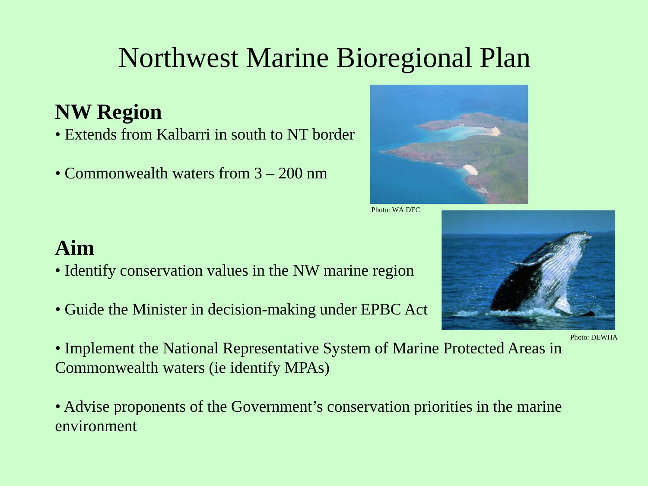### Northwest Marine Bioregional Plan

#### **NW Region**

- Extends from Kalbarri in south to NT border
- Commonwealth waters from  $3 200$  nm



Photo: WA DEC



- Identify conservation values in the NW marine region
- Guide the Minister in decision-making under EPBC Act

• Implement the National Representative System of Marine Protected Areas in Commonwealth waters (ie identify MPAs)

• Advise proponents of the Government's conservation priorities in the marine environment



Photo: DEWHA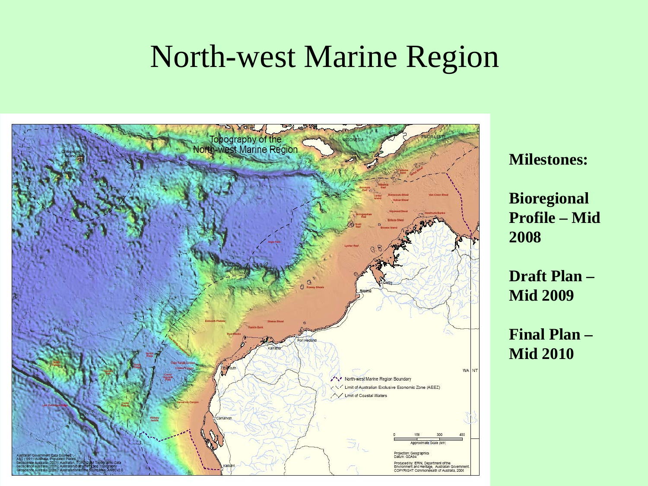### North-west Marine Region



**Milestones:**

**Bioregional Profile – Mid 2008**

**Draft Plan – Mid 2009**

**Final Plan – Mid 2010**